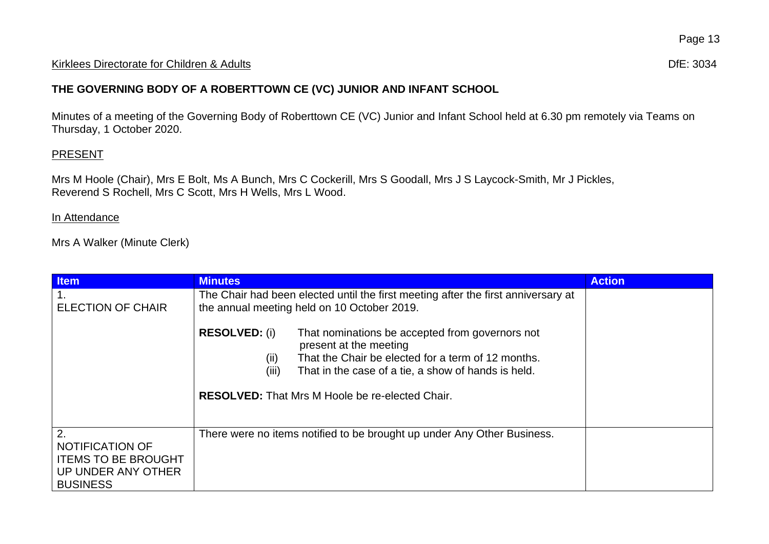#### Kirklees Directorate for Children & Adults **Difester and Adults** Dife: 3034

## **THE GOVERNING BODY OF A ROBERTTOWN CE (VC) JUNIOR AND INFANT SCHOOL**

Minutes of a meeting of the Governing Body of Roberttown CE (VC) Junior and Infant School held at 6.30 pm remotely via Teams on Thursday, 1 October 2020.

## **PRESENT**

Mrs M Hoole (Chair), Mrs E Bolt, Ms A Bunch, Mrs C Cockerill, Mrs S Goodall, Mrs J S Laycock-Smith, Mr J Pickles, Reverend S Rochell, Mrs C Scott, Mrs H Wells, Mrs L Wood.

#### In Attendance

Mrs A Walker (Minute Clerk)

| <b>Item</b>                                                                                         | <b>Minutes</b>                                                                                                                                                                                                                                                                            | <b>Action</b> |
|-----------------------------------------------------------------------------------------------------|-------------------------------------------------------------------------------------------------------------------------------------------------------------------------------------------------------------------------------------------------------------------------------------------|---------------|
| <b>ELECTION OF CHAIR</b>                                                                            | The Chair had been elected until the first meeting after the first anniversary at<br>the annual meeting held on 10 October 2019.                                                                                                                                                          |               |
|                                                                                                     | <b>RESOLVED: (i)</b><br>That nominations be accepted from governors not<br>present at the meeting<br>That the Chair be elected for a term of 12 months.<br>(ii)<br>(iii)<br>That in the case of a tie, a show of hands is held.<br><b>RESOLVED:</b> That Mrs M Hoole be re-elected Chair. |               |
| 2.<br><b>NOTIFICATION OF</b><br><b>ITEMS TO BE BROUGHT</b><br>UP UNDER ANY OTHER<br><b>BUSINESS</b> | There were no items notified to be brought up under Any Other Business.                                                                                                                                                                                                                   |               |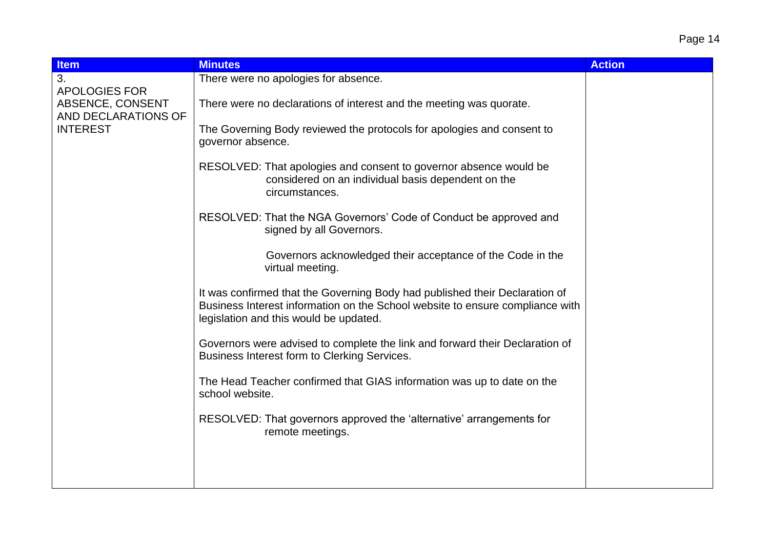# Page 14

| <b>Item</b>                                                                        | <b>Minutes</b>                                                                                                                                                                                         | <b>Action</b> |
|------------------------------------------------------------------------------------|--------------------------------------------------------------------------------------------------------------------------------------------------------------------------------------------------------|---------------|
| 3.                                                                                 | There were no apologies for absence.                                                                                                                                                                   |               |
| <b>APOLOGIES FOR</b><br>ABSENCE, CONSENT<br>AND DECLARATIONS OF<br><b>INTEREST</b> | There were no declarations of interest and the meeting was quorate.                                                                                                                                    |               |
|                                                                                    | The Governing Body reviewed the protocols for apologies and consent to<br>governor absence.                                                                                                            |               |
|                                                                                    | RESOLVED: That apologies and consent to governor absence would be<br>considered on an individual basis dependent on the<br>circumstances.                                                              |               |
|                                                                                    | RESOLVED: That the NGA Governors' Code of Conduct be approved and<br>signed by all Governors.                                                                                                          |               |
|                                                                                    | Governors acknowledged their acceptance of the Code in the<br>virtual meeting.                                                                                                                         |               |
|                                                                                    | It was confirmed that the Governing Body had published their Declaration of<br>Business Interest information on the School website to ensure compliance with<br>legislation and this would be updated. |               |
|                                                                                    | Governors were advised to complete the link and forward their Declaration of<br>Business Interest form to Clerking Services.                                                                           |               |
|                                                                                    | The Head Teacher confirmed that GIAS information was up to date on the<br>school website.                                                                                                              |               |
|                                                                                    | RESOLVED: That governors approved the 'alternative' arrangements for<br>remote meetings.                                                                                                               |               |
|                                                                                    |                                                                                                                                                                                                        |               |
|                                                                                    |                                                                                                                                                                                                        |               |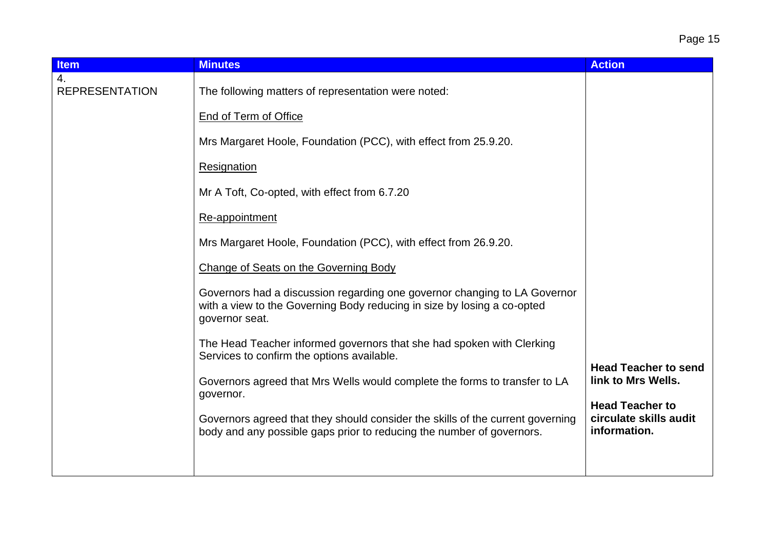| <b>Item</b>                 | <b>Minutes</b>                                                                                                                                                         | <b>Action</b>                                                    |
|-----------------------------|------------------------------------------------------------------------------------------------------------------------------------------------------------------------|------------------------------------------------------------------|
| 4.<br><b>REPRESENTATION</b> | The following matters of representation were noted:                                                                                                                    |                                                                  |
|                             | <b>End of Term of Office</b>                                                                                                                                           |                                                                  |
|                             | Mrs Margaret Hoole, Foundation (PCC), with effect from 25.9.20.                                                                                                        |                                                                  |
|                             | Resignation                                                                                                                                                            |                                                                  |
|                             | Mr A Toft, Co-opted, with effect from 6.7.20                                                                                                                           |                                                                  |
|                             | Re-appointment                                                                                                                                                         |                                                                  |
|                             | Mrs Margaret Hoole, Foundation (PCC), with effect from 26.9.20.                                                                                                        |                                                                  |
|                             | Change of Seats on the Governing Body                                                                                                                                  |                                                                  |
|                             | Governors had a discussion regarding one governor changing to LA Governor<br>with a view to the Governing Body reducing in size by losing a co-opted<br>governor seat. |                                                                  |
|                             | The Head Teacher informed governors that she had spoken with Clerking<br>Services to confirm the options available.                                                    |                                                                  |
|                             | Governors agreed that Mrs Wells would complete the forms to transfer to LA<br>governor.                                                                                | <b>Head Teacher to send</b><br>link to Mrs Wells.                |
|                             | Governors agreed that they should consider the skills of the current governing<br>body and any possible gaps prior to reducing the number of governors.                | <b>Head Teacher to</b><br>circulate skills audit<br>information. |
|                             |                                                                                                                                                                        |                                                                  |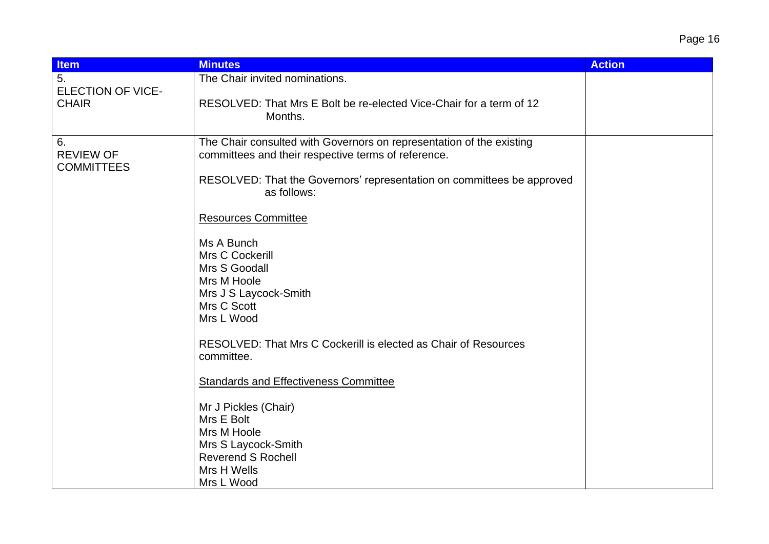| <b>Item</b>                                 | <b>Minutes</b>                                                                                                              | <b>Action</b> |
|---------------------------------------------|-----------------------------------------------------------------------------------------------------------------------------|---------------|
| 5.<br><b>ELECTION OF VICE-</b>              | The Chair invited nominations.                                                                                              |               |
| <b>CHAIR</b>                                | RESOLVED: That Mrs E Bolt be re-elected Vice-Chair for a term of 12<br>Months.                                              |               |
| 6.<br><b>REVIEW OF</b><br><b>COMMITTEES</b> | The Chair consulted with Governors on representation of the existing<br>committees and their respective terms of reference. |               |
|                                             | RESOLVED: That the Governors' representation on committees be approved<br>as follows:                                       |               |
|                                             | <b>Resources Committee</b>                                                                                                  |               |
|                                             | Ms A Bunch<br>Mrs C Cockerill                                                                                               |               |
|                                             | Mrs S Goodall<br>Mrs M Hoole                                                                                                |               |
|                                             | Mrs J S Laycock-Smith                                                                                                       |               |
|                                             | Mrs C Scott<br>Mrs L Wood                                                                                                   |               |
|                                             | RESOLVED: That Mrs C Cockerill is elected as Chair of Resources<br>committee.                                               |               |
|                                             | <b>Standards and Effectiveness Committee</b>                                                                                |               |
|                                             | Mr J Pickles (Chair)<br>Mrs E Bolt                                                                                          |               |
|                                             | Mrs M Hoole                                                                                                                 |               |
|                                             | Mrs S Laycock-Smith<br><b>Reverend S Rochell</b>                                                                            |               |
|                                             | Mrs H Wells                                                                                                                 |               |
|                                             | Mrs L Wood                                                                                                                  |               |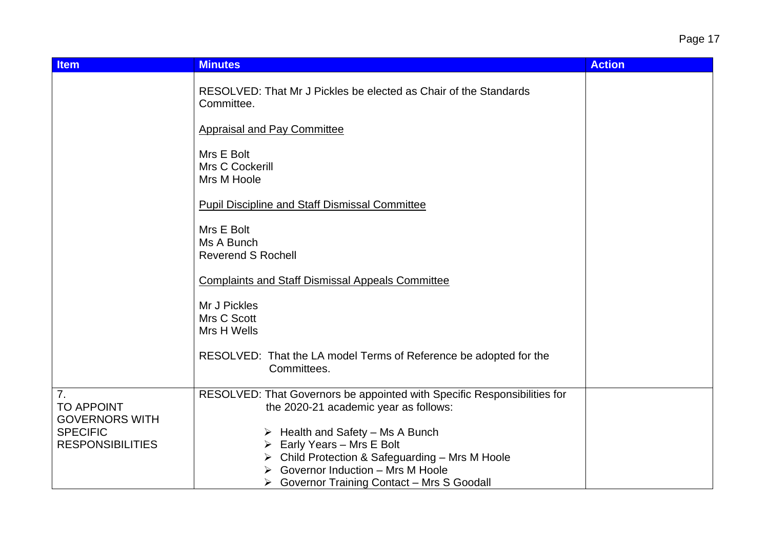Page 17

| <b>Minutes</b>                                                                                                    | <b>Action</b>                                                                                                                    |
|-------------------------------------------------------------------------------------------------------------------|----------------------------------------------------------------------------------------------------------------------------------|
| RESOLVED: That Mr J Pickles be elected as Chair of the Standards<br>Committee.                                    |                                                                                                                                  |
| <b>Appraisal and Pay Committee</b>                                                                                |                                                                                                                                  |
| Mrs E Bolt<br>Mrs C Cockerill<br>Mrs M Hoole                                                                      |                                                                                                                                  |
| <b>Pupil Discipline and Staff Dismissal Committee</b>                                                             |                                                                                                                                  |
| Mrs E Bolt<br>Ms A Bunch<br><b>Reverend S Rochell</b>                                                             |                                                                                                                                  |
| <b>Complaints and Staff Dismissal Appeals Committee</b>                                                           |                                                                                                                                  |
| Mr J Pickles<br>Mrs C Scott<br>Mrs H Wells                                                                        |                                                                                                                                  |
| RESOLVED: That the LA model Terms of Reference be adopted for the<br>Committees.                                  |                                                                                                                                  |
| RESOLVED: That Governors be appointed with Specific Responsibilities for<br>the 2020-21 academic year as follows: |                                                                                                                                  |
| $\triangleright$ Health and Safety – Ms A Bunch                                                                   |                                                                                                                                  |
| Early Years - Mrs E Bolt                                                                                          |                                                                                                                                  |
| ➤                                                                                                                 |                                                                                                                                  |
|                                                                                                                   |                                                                                                                                  |
|                                                                                                                   | Child Protection & Safeguarding - Mrs M Hoole<br>Governor Induction - Mrs M Hoole<br>▶ Governor Training Contact – Mrs S Goodall |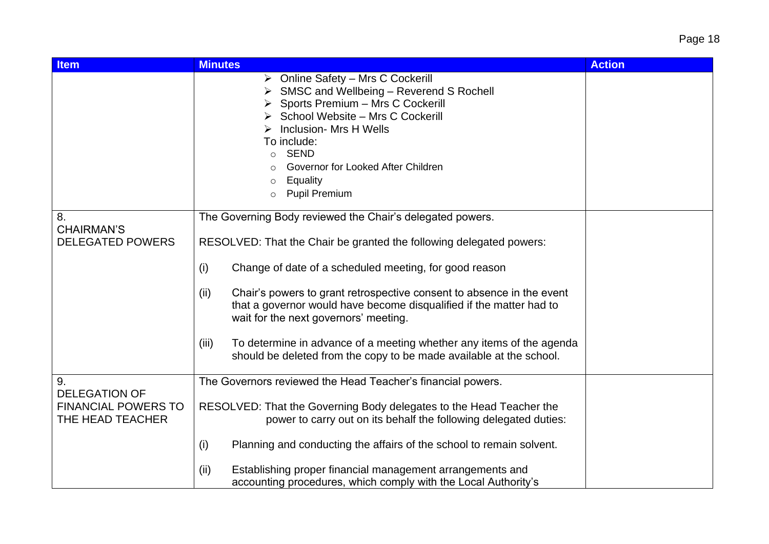| <b>Item</b>                                                                  | <b>Minutes</b>                                                                                                                                                                                                                                                                                                                                        | <b>Action</b> |
|------------------------------------------------------------------------------|-------------------------------------------------------------------------------------------------------------------------------------------------------------------------------------------------------------------------------------------------------------------------------------------------------------------------------------------------------|---------------|
|                                                                              | $\triangleright$ Online Safety – Mrs C Cockerill<br>SMSC and Wellbeing - Reverend S Rochell<br>Sports Premium - Mrs C Cockerill<br>School Website - Mrs C Cockerill<br>Inclusion- Mrs H Wells<br>To include:<br><b>SEND</b><br>$\circ$<br>Governor for Looked After Children<br>Equality<br>$\circ$<br><b>Pupil Premium</b><br>$\circ$                |               |
| 8.<br><b>CHAIRMAN'S</b><br><b>DELEGATED POWERS</b>                           | The Governing Body reviewed the Chair's delegated powers.<br>RESOLVED: That the Chair be granted the following delegated powers:<br>Change of date of a scheduled meeting, for good reason<br>(i)                                                                                                                                                     |               |
|                                                                              | Chair's powers to grant retrospective consent to absence in the event<br>(ii)<br>that a governor would have become disqualified if the matter had to<br>wait for the next governors' meeting.<br>To determine in advance of a meeting whether any items of the agenda<br>(iii)<br>should be deleted from the copy to be made available at the school. |               |
| 9.<br><b>DELEGATION OF</b><br><b>FINANCIAL POWERS TO</b><br>THE HEAD TEACHER | The Governors reviewed the Head Teacher's financial powers.<br>RESOLVED: That the Governing Body delegates to the Head Teacher the<br>power to carry out on its behalf the following delegated duties:<br>Planning and conducting the affairs of the school to remain solvent.<br>(i)                                                                 |               |
|                                                                              | Establishing proper financial management arrangements and<br>(ii)<br>accounting procedures, which comply with the Local Authority's                                                                                                                                                                                                                   |               |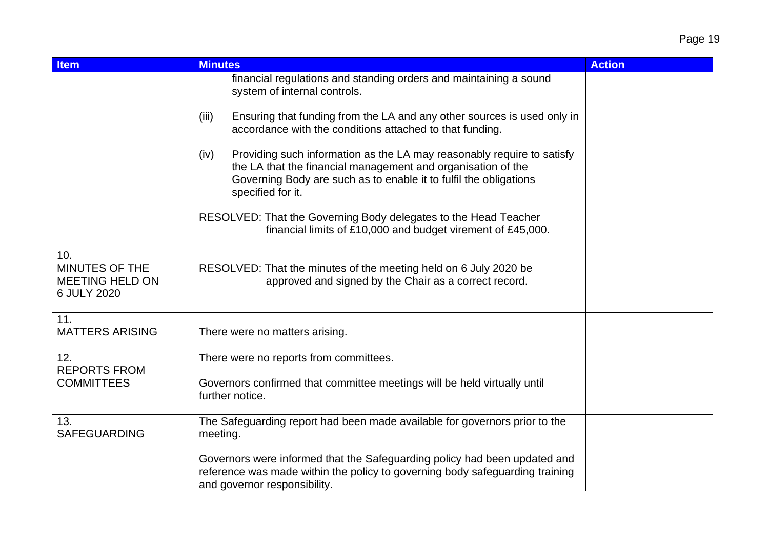| <b>Item</b>                                                    | <b>Minutes</b>                                                                                                                                                                                                                           | <b>Action</b> |
|----------------------------------------------------------------|------------------------------------------------------------------------------------------------------------------------------------------------------------------------------------------------------------------------------------------|---------------|
|                                                                | financial regulations and standing orders and maintaining a sound<br>system of internal controls.                                                                                                                                        |               |
|                                                                | Ensuring that funding from the LA and any other sources is used only in<br>(iii)<br>accordance with the conditions attached to that funding.                                                                                             |               |
|                                                                | Providing such information as the LA may reasonably require to satisfy<br>(iv)<br>the LA that the financial management and organisation of the<br>Governing Body are such as to enable it to fulfil the obligations<br>specified for it. |               |
|                                                                | RESOLVED: That the Governing Body delegates to the Head Teacher<br>financial limits of £10,000 and budget virement of £45,000.                                                                                                           |               |
| 10.<br>MINUTES OF THE<br><b>MEETING HELD ON</b><br>6 JULY 2020 | RESOLVED: That the minutes of the meeting held on 6 July 2020 be<br>approved and signed by the Chair as a correct record.                                                                                                                |               |
| 11.<br><b>MATTERS ARISING</b>                                  | There were no matters arising.                                                                                                                                                                                                           |               |
| 12.                                                            | There were no reports from committees.                                                                                                                                                                                                   |               |
| <b>REPORTS FROM</b><br><b>COMMITTEES</b>                       | Governors confirmed that committee meetings will be held virtually until<br>further notice.                                                                                                                                              |               |
| 13.<br><b>SAFEGUARDING</b>                                     | The Safeguarding report had been made available for governors prior to the<br>meeting.                                                                                                                                                   |               |
|                                                                | Governors were informed that the Safeguarding policy had been updated and<br>reference was made within the policy to governing body safeguarding training<br>and governor responsibility.                                                |               |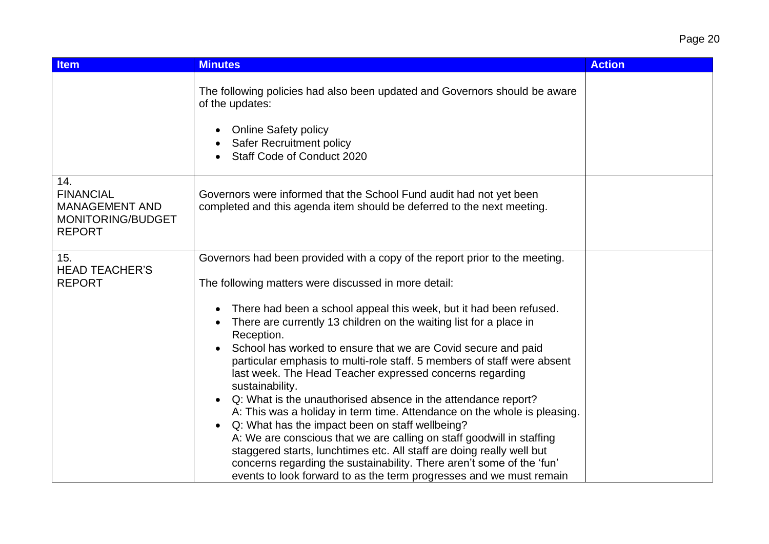| <b>Item</b>                                                                            | <b>Minutes</b>                                                                                                                                                                                                                                                                                                                                                                                                                                                                                                                                                                                                                                                                                                                                                                                                                                                                                                                                                                                                                                            | <b>Action</b> |
|----------------------------------------------------------------------------------------|-----------------------------------------------------------------------------------------------------------------------------------------------------------------------------------------------------------------------------------------------------------------------------------------------------------------------------------------------------------------------------------------------------------------------------------------------------------------------------------------------------------------------------------------------------------------------------------------------------------------------------------------------------------------------------------------------------------------------------------------------------------------------------------------------------------------------------------------------------------------------------------------------------------------------------------------------------------------------------------------------------------------------------------------------------------|---------------|
|                                                                                        | The following policies had also been updated and Governors should be aware<br>of the updates:<br><b>Online Safety policy</b><br>Safer Recruitment policy<br>Staff Code of Conduct 2020                                                                                                                                                                                                                                                                                                                                                                                                                                                                                                                                                                                                                                                                                                                                                                                                                                                                    |               |
| 14.<br><b>FINANCIAL</b><br><b>MANAGEMENT AND</b><br>MONITORING/BUDGET<br><b>REPORT</b> | Governors were informed that the School Fund audit had not yet been<br>completed and this agenda item should be deferred to the next meeting.                                                                                                                                                                                                                                                                                                                                                                                                                                                                                                                                                                                                                                                                                                                                                                                                                                                                                                             |               |
| 15.<br><b>HEAD TEACHER'S</b><br><b>REPORT</b>                                          | Governors had been provided with a copy of the report prior to the meeting.<br>The following matters were discussed in more detail:<br>There had been a school appeal this week, but it had been refused.<br>٠<br>There are currently 13 children on the waiting list for a place in<br>Reception.<br>School has worked to ensure that we are Covid secure and paid<br>particular emphasis to multi-role staff. 5 members of staff were absent<br>last week. The Head Teacher expressed concerns regarding<br>sustainability.<br>Q: What is the unauthorised absence in the attendance report?<br>$\bullet$<br>A: This was a holiday in term time. Attendance on the whole is pleasing.<br>Q: What has the impact been on staff wellbeing?<br>$\bullet$<br>A: We are conscious that we are calling on staff goodwill in staffing<br>staggered starts, lunchtimes etc. All staff are doing really well but<br>concerns regarding the sustainability. There aren't some of the 'fun'<br>events to look forward to as the term progresses and we must remain |               |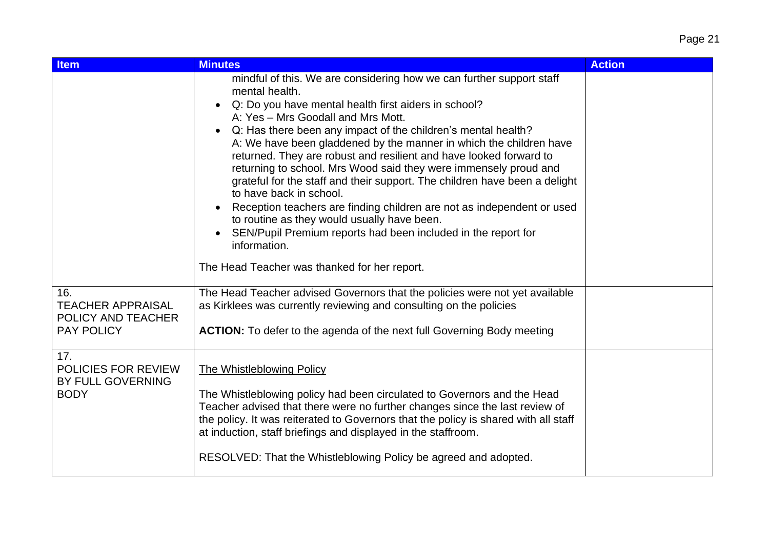| <b>Item</b>                                                                | <b>Minutes</b>                                                                                                                                                                                                                                                                                                                                                                                                                                                                                                                                                                                                                                                                                                                                                                                                                                                     | <b>Action</b> |
|----------------------------------------------------------------------------|--------------------------------------------------------------------------------------------------------------------------------------------------------------------------------------------------------------------------------------------------------------------------------------------------------------------------------------------------------------------------------------------------------------------------------------------------------------------------------------------------------------------------------------------------------------------------------------------------------------------------------------------------------------------------------------------------------------------------------------------------------------------------------------------------------------------------------------------------------------------|---------------|
|                                                                            | mindful of this. We are considering how we can further support staff<br>mental health.<br>Q: Do you have mental health first aiders in school?<br>$\bullet$<br>A: Yes - Mrs Goodall and Mrs Mott.<br>Q: Has there been any impact of the children's mental health?<br>A: We have been gladdened by the manner in which the children have<br>returned. They are robust and resilient and have looked forward to<br>returning to school. Mrs Wood said they were immensely proud and<br>grateful for the staff and their support. The children have been a delight<br>to have back in school.<br>Reception teachers are finding children are not as independent or used<br>to routine as they would usually have been.<br>SEN/Pupil Premium reports had been included in the report for<br>$\bullet$<br>information.<br>The Head Teacher was thanked for her report. |               |
| 16.<br><b>TEACHER APPRAISAL</b><br>POLICY AND TEACHER<br><b>PAY POLICY</b> | The Head Teacher advised Governors that the policies were not yet available<br>as Kirklees was currently reviewing and consulting on the policies<br><b>ACTION:</b> To defer to the agenda of the next full Governing Body meeting                                                                                                                                                                                                                                                                                                                                                                                                                                                                                                                                                                                                                                 |               |
| 17.<br><b>POLICIES FOR REVIEW</b><br>BY FULL GOVERNING<br><b>BODY</b>      | <b>The Whistleblowing Policy</b><br>The Whistleblowing policy had been circulated to Governors and the Head<br>Teacher advised that there were no further changes since the last review of<br>the policy. It was reiterated to Governors that the policy is shared with all staff<br>at induction, staff briefings and displayed in the staffroom.<br>RESOLVED: That the Whistleblowing Policy be agreed and adopted.                                                                                                                                                                                                                                                                                                                                                                                                                                              |               |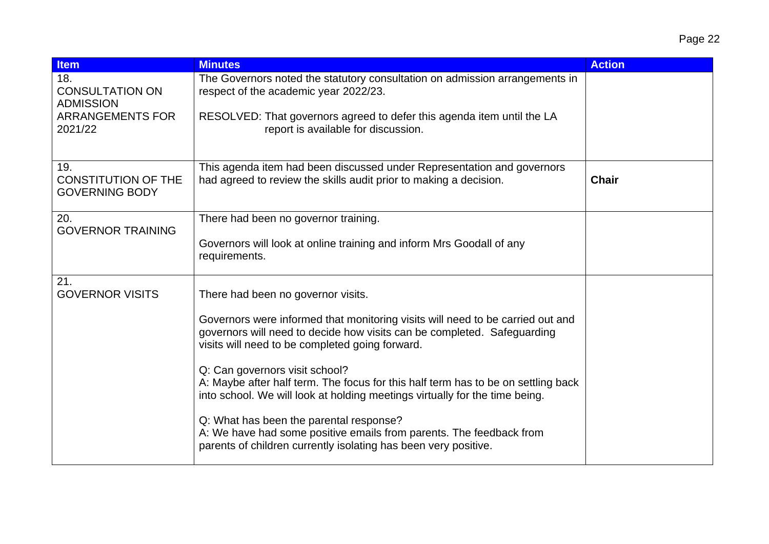| <b>Item</b>                                                | <b>Minutes</b>                                                                                                                                                                                               | <b>Action</b> |
|------------------------------------------------------------|--------------------------------------------------------------------------------------------------------------------------------------------------------------------------------------------------------------|---------------|
| 18.<br><b>CONSULTATION ON</b><br><b>ADMISSION</b>          | The Governors noted the statutory consultation on admission arrangements in<br>respect of the academic year 2022/23.                                                                                         |               |
| <b>ARRANGEMENTS FOR</b><br>2021/22                         | RESOLVED: That governors agreed to defer this agenda item until the LA<br>report is available for discussion.                                                                                                |               |
| 19.<br><b>CONSTITUTION OF THE</b><br><b>GOVERNING BODY</b> | This agenda item had been discussed under Representation and governors<br>had agreed to review the skills audit prior to making a decision.                                                                  | <b>Chair</b>  |
| 20.<br><b>GOVERNOR TRAINING</b>                            | There had been no governor training.                                                                                                                                                                         |               |
|                                                            | Governors will look at online training and inform Mrs Goodall of any<br>requirements.                                                                                                                        |               |
| 21.<br><b>GOVERNOR VISITS</b>                              | There had been no governor visits.                                                                                                                                                                           |               |
|                                                            | Governors were informed that monitoring visits will need to be carried out and<br>governors will need to decide how visits can be completed. Safeguarding<br>visits will need to be completed going forward. |               |
|                                                            | Q: Can governors visit school?<br>A: Maybe after half term. The focus for this half term has to be on settling back<br>into school. We will look at holding meetings virtually for the time being.           |               |
|                                                            | Q: What has been the parental response?<br>A: We have had some positive emails from parents. The feedback from<br>parents of children currently isolating has been very positive.                            |               |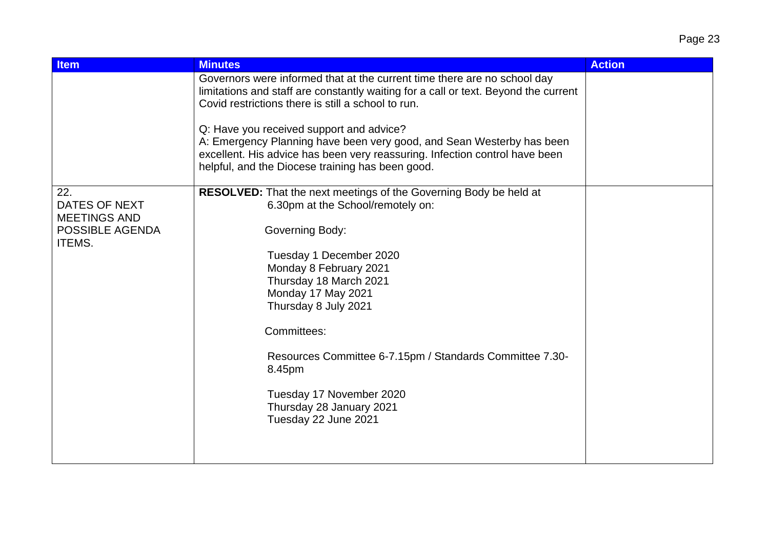| <b>Item</b>                          | <b>Minutes</b>                                                                                                                                                                                                                                       | <b>Action</b> |
|--------------------------------------|------------------------------------------------------------------------------------------------------------------------------------------------------------------------------------------------------------------------------------------------------|---------------|
|                                      | Governors were informed that at the current time there are no school day<br>limitations and staff are constantly waiting for a call or text. Beyond the current<br>Covid restrictions there is still a school to run.                                |               |
|                                      | Q: Have you received support and advice?<br>A: Emergency Planning have been very good, and Sean Westerby has been<br>excellent. His advice has been very reassuring. Infection control have been<br>helpful, and the Diocese training has been good. |               |
| 22.                                  | <b>RESOLVED:</b> That the next meetings of the Governing Body be held at                                                                                                                                                                             |               |
| DATES OF NEXT<br><b>MEETINGS AND</b> | 6.30pm at the School/remotely on:                                                                                                                                                                                                                    |               |
| POSSIBLE AGENDA<br>ITEMS.            | Governing Body:                                                                                                                                                                                                                                      |               |
|                                      | Tuesday 1 December 2020                                                                                                                                                                                                                              |               |
|                                      | Monday 8 February 2021                                                                                                                                                                                                                               |               |
|                                      | Thursday 18 March 2021<br>Monday 17 May 2021                                                                                                                                                                                                         |               |
|                                      | Thursday 8 July 2021                                                                                                                                                                                                                                 |               |
|                                      | Committees:                                                                                                                                                                                                                                          |               |
|                                      | Resources Committee 6-7.15pm / Standards Committee 7.30-<br>8.45pm                                                                                                                                                                                   |               |
|                                      | Tuesday 17 November 2020<br>Thursday 28 January 2021<br>Tuesday 22 June 2021                                                                                                                                                                         |               |
|                                      |                                                                                                                                                                                                                                                      |               |